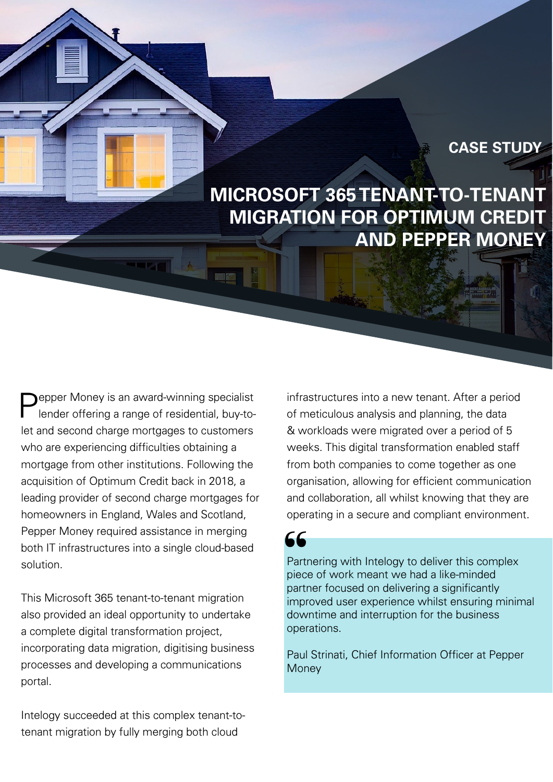#### **CASE STUDY**

**MICROSOFT 365 TENANT-TO-TENANT MIGRATION FOR OPTIMUM CREDIT AND PEPPER MONEY**

epper Money is an award-winning specialist lender offering a range of residential, buy-tolet and second charge mortgages to customers who are experiencing difficulties obtaining a mortgage from other institutions. Following the acquisition of Optimum Credit back in 2018, a leading provider of second charge mortgages for homeowners in England, Wales and Scotland, Pepper Money required assistance in merging both IT infrastructures into a single cloud-based solution.

This Microsoft 365 tenant-to-tenant migration also provided an ideal opportunity to undertake a complete digital transformation project, incorporating data migration, digitising business processes and developing a communications portal.

Intelogy succeeded at this complex tenant-totenant migration by fully merging both cloud

infrastructures into a new tenant. After a period of meticulous analysis and planning, the data & workloads were migrated over a period of 5 weeks. This digital transformation enabled staff from both companies to come together as one organisation, allowing for efficient communication and collaboration, all whilst knowing that they are operating in a secure and compliant environment.

Partnering with Intelogy to deliver this complex piece of work meant we had a like-minded partner focused on delivering a significantly improved user experience whilst ensuring minimal downtime and interruption for the business operations. 66<br>Part<br>piec<br>part<br>impi

Paul Strinati, Chief Information Officer at Pepper **Money**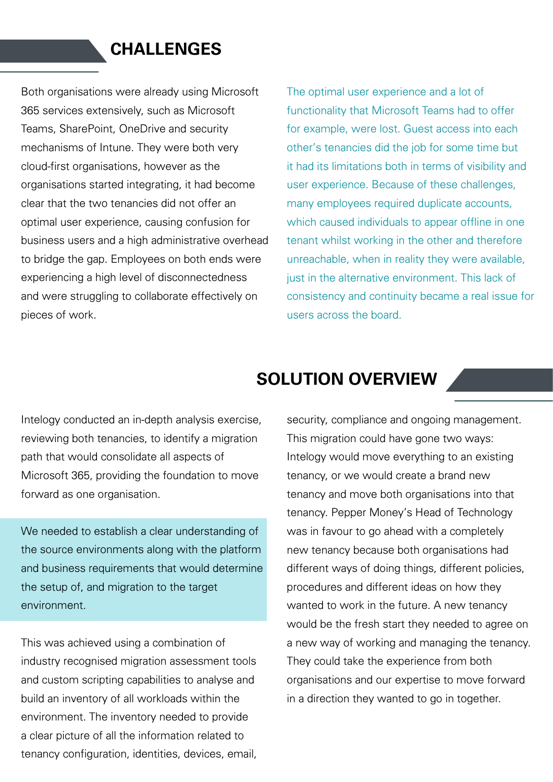## **CHALLENGES**

Both organisations were already using Microsoft 365 services extensively, such as Microsoft Teams, SharePoint, OneDrive and security mechanisms of Intune. They were both very cloud-first organisations, however as the organisations started integrating, it had become clear that the two tenancies did not offer an optimal user experience, causing confusion for business users and a high administrative overhead to bridge the gap. Employees on both ends were experiencing a high level of disconnectedness and were struggling to collaborate effectively on pieces of work.

The optimal user experience and a lot of functionality that Microsoft Teams had to offer for example, were lost. Guest access into each other's tenancies did the job for some time but it had its limitations both in terms of visibility and user experience. Because of these challenges, many employees required duplicate accounts, which caused individuals to appear offline in one tenant whilst working in the other and therefore unreachable, when in reality they were available, just in the alternative environment. This lack of consistency and continuity became a real issue for users across the board.

## **SOLUTION OVERVIEW**

Intelogy conducted an in-depth analysis exercise, reviewing both tenancies, to identify a migration path that would consolidate all aspects of Microsoft 365, providing the foundation to move forward as one organisation.

We needed to establish a clear understanding of the source environments along with the platform and business requirements that would determine the setup of, and migration to the target environment.

This was achieved using a combination of industry recognised migration assessment tools and custom scripting capabilities to analyse and build an inventory of all workloads within the environment. The inventory needed to provide a clear picture of all the information related to tenancy configuration, identities, devices, email, security, compliance and ongoing management. This migration could have gone two ways: Intelogy would move everything to an existing tenancy, or we would create a brand new tenancy and move both organisations into that tenancy. Pepper Money's Head of Technology was in favour to go ahead with a completely new tenancy because both organisations had different ways of doing things, different policies, procedures and different ideas on how they wanted to work in the future. A new tenancy would be the fresh start they needed to agree on a new way of working and managing the tenancy. They could take the experience from both organisations and our expertise to move forward in a direction they wanted to go in together.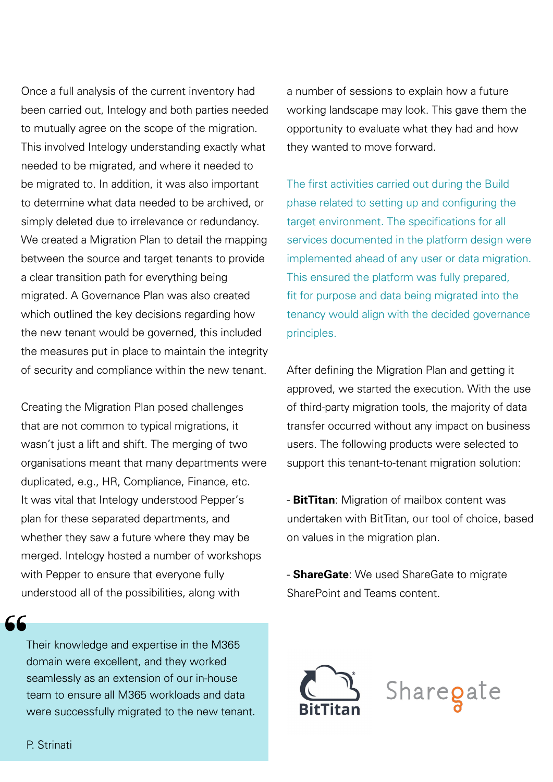Once a full analysis of the current inventory had been carried out, Intelogy and both parties needed to mutually agree on the scope of the migration. This involved Intelogy understanding exactly what needed to be migrated, and where it needed to be migrated to. In addition, it was also important to determine what data needed to be archived, or simply deleted due to irrelevance or redundancy. We created a Migration Plan to detail the mapping between the source and target tenants to provide a clear transition path for everything being migrated. A Governance Plan was also created which outlined the key decisions regarding how the new tenant would be governed, this included the measures put in place to maintain the integrity of security and compliance within the new tenant.

Creating the Migration Plan posed challenges that are not common to typical migrations, it wasn't just a lift and shift. The merging of two organisations meant that many departments were duplicated, e.g., HR, Compliance, Finance, etc. It was vital that Intelogy understood Pepper's plan for these separated departments, and whether they saw a future where they may be merged. Intelogy hosted a number of workshops with Pepper to ensure that everyone fully understood all of the possibilities, along with

Their knowledge and expertise in the M365 domain were excellent, and they worked seamlessly as an extension of our in-house team to ensure all M365 workloads and data were successfully migrated to the new tenant. a number of sessions to explain how a future working landscape may look. This gave them the opportunity to evaluate what they had and how they wanted to move forward.

The first activities carried out during the Build phase related to setting up and configuring the target environment. The specifications for all services documented in the platform design were implemented ahead of any user or data migration. This ensured the platform was fully prepared, fit for purpose and data being migrated into the tenancy would align with the decided governance principles.

After defining the Migration Plan and getting it approved, we started the execution. With the use of third-party migration tools, the majority of data transfer occurred without any impact on business users. The following products were selected to support this tenant-to-tenant migration solution:

- **BitTitan**: Migration of mailbox content was undertaken with BitTitan, our tool of choice, based on values in the migration plan.

- **ShareGate**: We used ShareGate to migrate SharePoint and Teams content.



ርር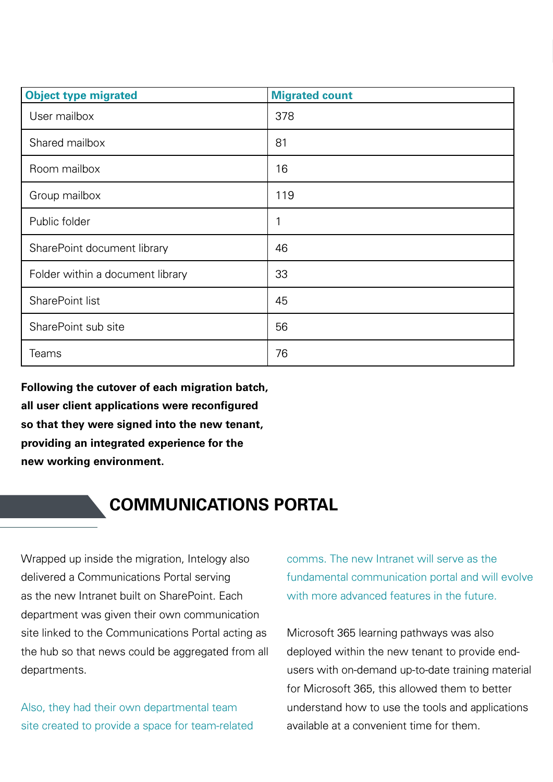| <b>Object type migrated</b>      | <b>Migrated count</b> |
|----------------------------------|-----------------------|
| User mailbox                     | 378                   |
| Shared mailbox                   | 81                    |
| Room mailbox                     | 16                    |
| Group mailbox                    | 119                   |
| Public folder                    | 1                     |
| SharePoint document library      | 46                    |
| Folder within a document library | 33                    |
| SharePoint list                  | 45                    |
| SharePoint sub site              | 56                    |
| Teams                            | 76                    |

**Following the cutover of each migration batch, all user client applications were reconfigured so that they were signed into the new tenant, providing an integrated experience for the new working environment.**

# **COMMUNICATIONS PORTAL**

Wrapped up inside the migration, Intelogy also delivered a Communications Portal serving as the new Intranet built on SharePoint. Each department was given their own communication site linked to the Communications Portal acting as the hub so that news could be aggregated from all departments.

Also, they had their own departmental team site created to provide a space for team-related

comms. The new Intranet will serve as the fundamental communication portal and will evolve with more advanced features in the future.

Microsoft 365 learning pathways was also deployed within the new tenant to provide endusers with on-demand up-to-date training material for Microsoft 365, this allowed them to better understand how to use the tools and applications available at a convenient time for them.